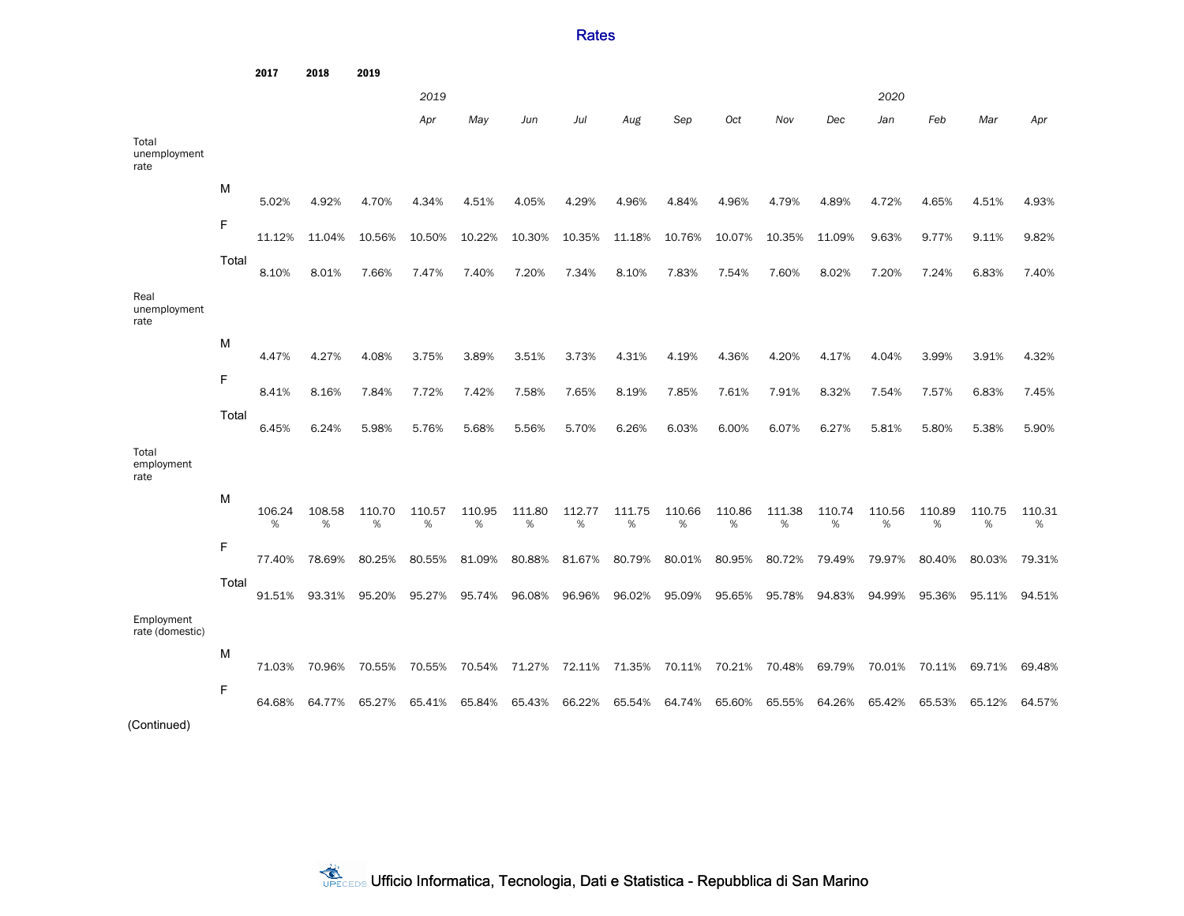**Rates** 

2017 2018 2019 *2019 2020 Apr May Jun Jul Aug Sep Oct Nov Dec Jan Feb Mar Apr* Total unemployment rate M 5.02% 4.92% 4.70% 4.34% 4.51% 4.05% 4.29% 4.96% 4.84% 4.96% 4.79% 4.89% 4.72% 4.65% 4.51% 4.93% F 11.12% 11.04% 10.56% 10.50% 10.22% 10.30% 10.35% 11.18% 10.76% 10.07% 10.35% 11.09% 9.63% 9.77% 9.11% 9.82% Total 8.10% 8.01% 7.66% 7.47% 7.40% 7.20% 7.34% 8.10% 7.83% 7.54% 7.60% 8.02% 7.20% 7.24% 6.83% 7.40% Real unemployment rate M 4.47% 4.27% 4.08% 3.75% 3.89% 3.51% 3.73% 4.31% 4.19% 4.36% 4.20% 4.17% 4.04% 3.99% 3.91% 4.32% F 8.41% 8.16% 7.84% 7.72% 7.42% 7.58% 7.65% 8.19% 7.85% 7.61% 7.91% 8.32% 7.54% 7.57% 6.83% 7.45% Total 6.45% 6.24% 5.98% 5.76% 5.68% 5.56% 5.70% 6.26% 6.03% 6.00% 6.07% 6.27% 5.81% 5.80% 5.38% 5.90% Total employment rate M 106.24 % 108.58 % 110.70 % 110.57 % 110.95 % 111.80 % 112.77 % 111.75 % 110.66 % 110.86 % 111.38 % 110.74 % 110.56 % 110.89 % 110.75 % 110.31 % F 77.40% 78.69% 80.25% 80.55% 81.09% 80.88% 81.67% 80.79% 80.01% 80.95% 80.72% 79.49% 79.97% 80.40% 80.03% 79.31% Total 91.51% 93.31% 95.20% 95.27% 95.74% 96.08% 96.96% 96.02% 95.09% 95.65% 95.78% 94.83% 94.99% 95.36% 95.11% 94.51% Employment rate (domestic) M 71.03% 70.96% 70.55% 70.55% 70.54% 71.27% 72.11% 71.35% 70.11% 70.21% 70.48% 69.79% 70.01% 70.11% 69.71% 69.48% F 64.68% 64.77% 65.27% 65.41% 65.84% 65.43% 66.22% 65.54% 64.74% 65.60% 65.55% 64.26% 65.42% 65.53% 65.12% 64.57% (Continued)